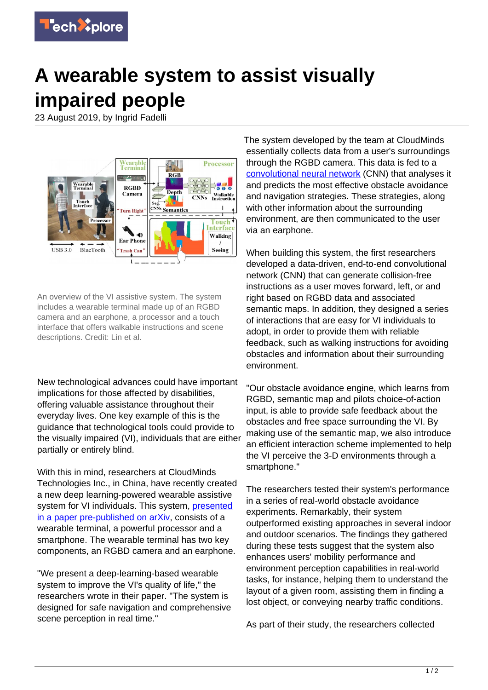

## **A wearable system to assist visually impaired people**

23 August 2019, by Ingrid Fadelli



An overview of the VI assistive system. The system includes a wearable terminal made up of an RGBD camera and an earphone, a processor and a touch interface that offers walkable instructions and scene descriptions. Credit: Lin et al.

New technological advances could have important implications for those affected by disabilities, offering valuable assistance throughout their everyday lives. One key example of this is the guidance that technological tools could provide to the visually impaired (VI), individuals that are either partially or entirely blind.

With this in mind, researchers at CloudMinds Technologies Inc., in China, have recently created a new deep learning-powered wearable assistive system for VI individuals. This system, *[presented](https://arxiv.org/pdf/1908.03364.pdf)* [in a paper pre-published on arXiv](https://arxiv.org/pdf/1908.03364.pdf), consists of a wearable terminal, a powerful processor and a smartphone. The wearable terminal has two key components, an RGBD camera and an earphone.

"We present a deep-learning-based wearable system to improve the VI's quality of life," the researchers wrote in their paper. "The system is designed for safe navigation and comprehensive scene perception in real time."

The system developed by the team at CloudMinds essentially collects data from a user's surroundings through the RGBD camera. This data is fed to a [convolutional neural network](https://techxplore.com/tags/convolutional+neural+network/) (CNN) that analyses it and predicts the most effective obstacle avoidance and navigation strategies. These strategies, along with other information about the surrounding environment, are then communicated to the user via an earphone.

When building this system, the first researchers developed a data-driven, end-to-end convolutional network (CNN) that can generate collision-free instructions as a user moves forward, left, or and right based on RGBD data and associated semantic maps. In addition, they designed a series of interactions that are easy for VI individuals to adopt, in order to provide them with reliable feedback, such as walking instructions for avoiding obstacles and information about their surrounding environment.

"Our obstacle avoidance engine, which learns from RGBD, semantic map and pilots choice-of-action input, is able to provide safe feedback about the obstacles and free space surrounding the VI. By making use of the semantic map, we also introduce an efficient interaction scheme implemented to help the VI perceive the 3-D environments through a smartphone."

The researchers tested their system's performance in a series of real-world obstacle avoidance experiments. Remarkably, their system outperformed existing approaches in several indoor and outdoor scenarios. The findings they gathered during these tests suggest that the system also enhances users' mobility performance and environment perception capabilities in real-world tasks, for instance, helping them to understand the layout of a given room, assisting them in finding a lost object, or conveying nearby traffic conditions.

As part of their study, the researchers collected